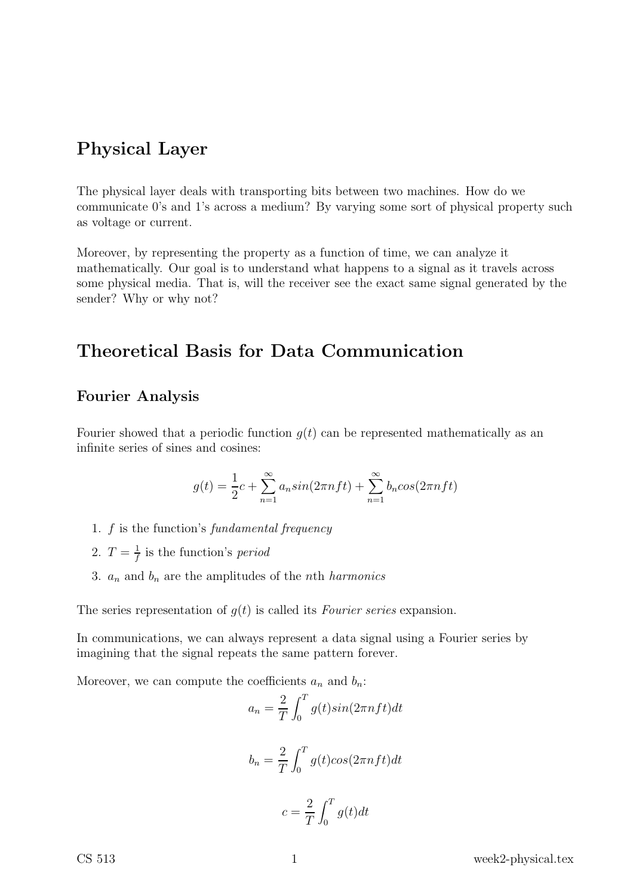# Physical Layer

The physical layer deals with transporting bits between two machines. How do we communicate 0's and 1's across a medium? By varying some sort of physical property such as voltage or current.

Moreover, by representing the property as a function of time, we can analyze it mathematically. Our goal is to understand what happens to a signal as it travels across some physical media. That is, will the receiver see the exact same signal generated by the sender? Why or why not?

# Theoretical Basis for Data Communication

### Fourier Analysis

Fourier showed that a periodic function  $g(t)$  can be represented mathematically as an infinite series of sines and cosines:

$$
g(t) = \frac{1}{2}c + \sum_{n=1}^{\infty} a_n \sin(2\pi n f t) + \sum_{n=1}^{\infty} b_n \cos(2\pi n f t)
$$

- 1. f is the function's fundamental frequency
- 2.  $T = \frac{1}{f}$  $\frac{1}{f}$  is the function's *period*
- 3.  $a_n$  and  $b_n$  are the amplitudes of the *n*th *harmonics*

The series representation of  $g(t)$  is called its Fourier series expansion.

In communications, we can always represent a data signal using a Fourier series by imagining that the signal repeats the same pattern forever.

Moreover, we can compute the coefficients  $a_n$  and  $b_n$ :

$$
a_n = \frac{2}{T} \int_0^T g(t) \sin(2\pi n f t) dt
$$

$$
b_n = \frac{2}{T} \int_0^T g(t) \cos(2\pi n f t) dt
$$

$$
c = \frac{2}{T} \int_0^T g(t) dt
$$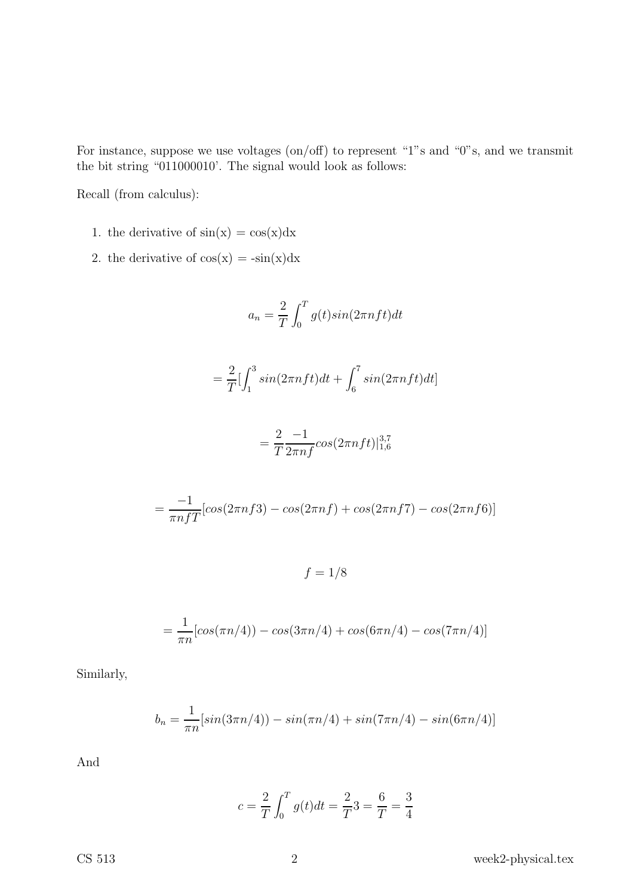For instance, suppose we use voltages (on/off) to represent "1"s and "0"s, and we transmit the bit string "011000010'. The signal would look as follows:

Recall (from calculus):

- 1. the derivative of  $sin(x) = cos(x)dx$
- 2. the derivative of  $cos(x) = -sin(x)dx$

$$
a_n = \frac{2}{T} \int_0^T g(t) \sin(2\pi n f t) dt
$$

$$
=\frac{2}{T}\left[\int_1^3\sin(2\pi nft)dt+\int_6^7\sin(2\pi nft)dt\right]
$$

$$
= \frac{2}{T} \frac{-1}{2\pi n f} \cos(2\pi n f t)|_{1,6}^{3,7}
$$

$$
= \frac{-1}{\pi n f T} [cos(2\pi n f3) - cos(2\pi n f) + cos(2\pi n f7) - cos(2\pi n f6)]
$$

 $f = 1/8$ 

$$
= \frac{1}{\pi n} [\cos(\pi n/4)) - \cos(3\pi n/4) + \cos(6\pi n/4) - \cos(7\pi n/4)]
$$

Similarly,

$$
b_n = \frac{1}{\pi n} [\sin(3\pi n/4)) - \sin(\pi n/4) + \sin(7\pi n/4) - \sin(6\pi n/4)]
$$

And

$$
c = \frac{2}{T} \int_0^T g(t)dt = \frac{2}{T}3 = \frac{6}{T} = \frac{3}{4}
$$

CS  $513$  week2-physical.tex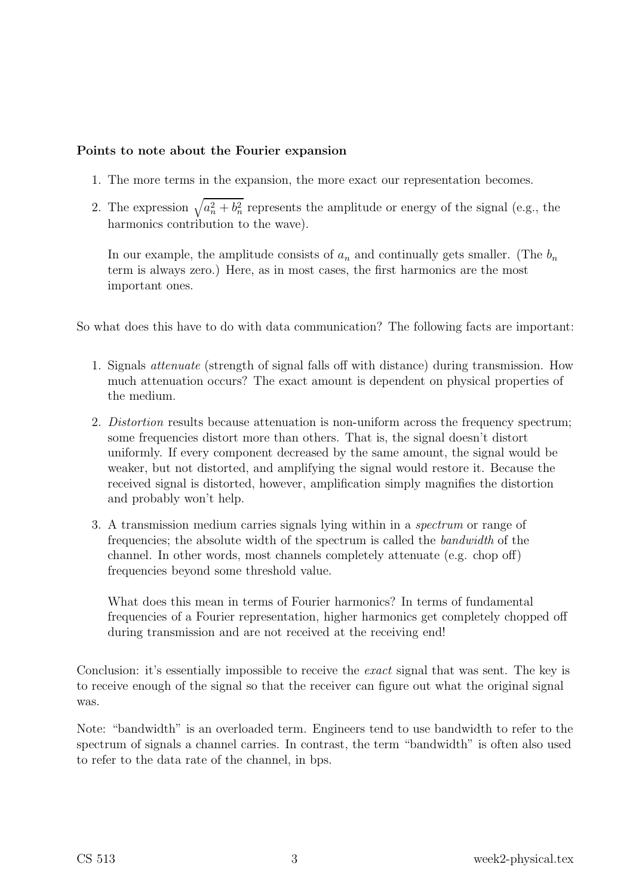#### Points to note about the Fourier expansion

- 1. The more terms in the expansion, the more exact our representation becomes.
- 2. The expression  $\sqrt{a_n^2 + b_n^2}$  represents the amplitude or energy of the signal (e.g., the harmonics contribution to the wave).

In our example, the amplitude consists of  $a_n$  and continually gets smaller. (The  $b_n$ term is always zero.) Here, as in most cases, the first harmonics are the most important ones.

So what does this have to do with data communication? The following facts are important:

- 1. Signals attenuate (strength of signal falls off with distance) during transmission. How much attenuation occurs? The exact amount is dependent on physical properties of the medium.
- 2. Distortion results because attenuation is non-uniform across the frequency spectrum; some frequencies distort more than others. That is, the signal doesn't distort uniformly. If every component decreased by the same amount, the signal would be weaker, but not distorted, and amplifying the signal would restore it. Because the received signal is distorted, however, amplification simply magnifies the distortion and probably won't help.
- 3. A transmission medium carries signals lying within in a spectrum or range of frequencies; the absolute width of the spectrum is called the bandwidth of the channel. In other words, most channels completely attenuate (e.g. chop off) frequencies beyond some threshold value.

What does this mean in terms of Fourier harmonics? In terms of fundamental frequencies of a Fourier representation, higher harmonics get completely chopped off during transmission and are not received at the receiving end!

Conclusion: it's essentially impossible to receive the *exact* signal that was sent. The key is to receive enough of the signal so that the receiver can figure out what the original signal was.

Note: "bandwidth" is an overloaded term. Engineers tend to use bandwidth to refer to the spectrum of signals a channel carries. In contrast, the term "bandwidth" is often also used to refer to the data rate of the channel, in bps.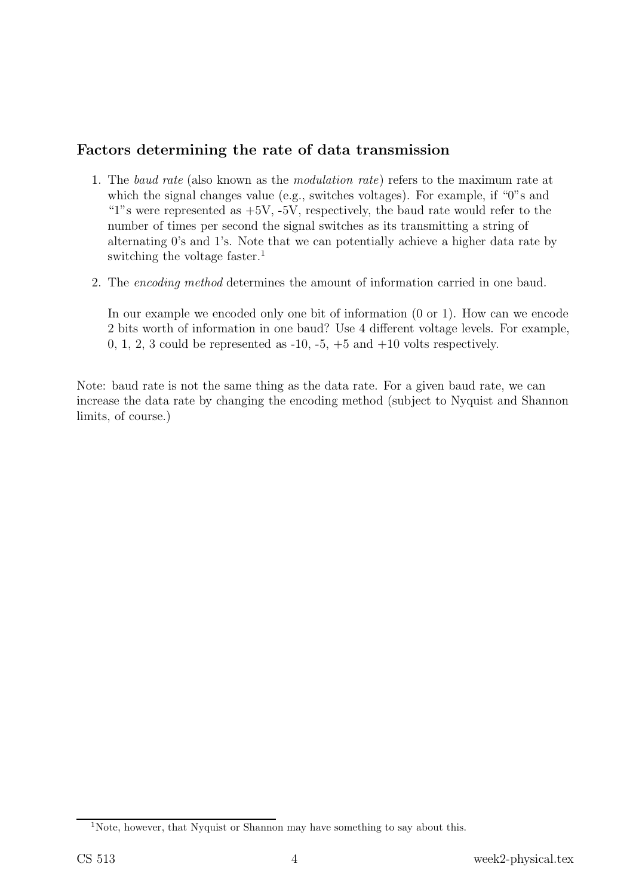### Factors determining the rate of data transmission

- 1. The baud rate (also known as the modulation rate) refers to the maximum rate at which the signal changes value (e.g., switches voltages). For example, if "0"s and "1"s were represented as  $+5V$ ,  $-5V$ , respectively, the baud rate would refer to the number of times per second the signal switches as its transmitting a string of alternating 0's and 1's. Note that we can potentially achieve a higher data rate by switching the voltage faster.<sup>1</sup>
- 2. The encoding method determines the amount of information carried in one baud.

In our example we encoded only one bit of information (0 or 1). How can we encode 2 bits worth of information in one baud? Use 4 different voltage levels. For example, 0, 1, 2, 3 could be represented as  $-10$ ,  $-5$ ,  $+5$  and  $+10$  volts respectively.

Note: baud rate is not the same thing as the data rate. For a given baud rate, we can increase the data rate by changing the encoding method (subject to Nyquist and Shannon limits, of course.)

<sup>&</sup>lt;sup>1</sup>Note, however, that Nyquist or Shannon may have something to say about this.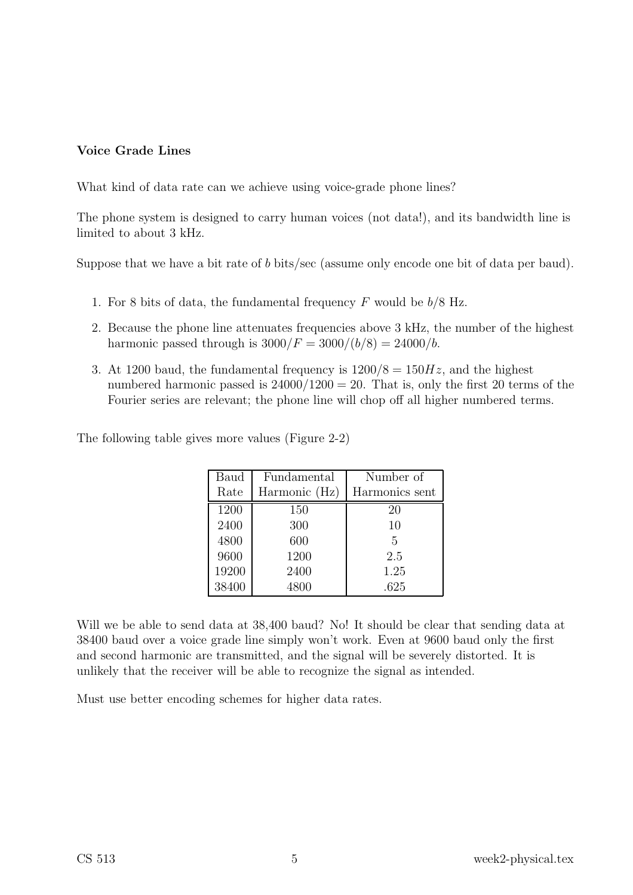### Voice Grade Lines

What kind of data rate can we achieve using voice-grade phone lines?

The phone system is designed to carry human voices (not data!), and its bandwidth line is limited to about 3 kHz.

Suppose that we have a bit rate of b bits/sec (assume only encode one bit of data per baud).

- 1. For 8 bits of data, the fundamental frequency  $F$  would be  $b/8$  Hz.
- 2. Because the phone line attenuates frequencies above 3 kHz, the number of the highest harmonic passed through is  $3000/F = 3000/(b/8) = 24000/b$ .
- 3. At 1200 baud, the fundamental frequency is  $1200/8 = 150Hz$ , and the highest numbered harmonic passed is  $24000/1200 = 20$ . That is, only the first 20 terms of the Fourier series are relevant; the phone line will chop off all higher numbered terms.

| The following table gives more values (Figure 2-2) |  |  |  |
|----------------------------------------------------|--|--|--|
|                                                    |  |  |  |

| Baud  | Fundamental   | Number of      |
|-------|---------------|----------------|
| Rate  | Harmonic (Hz) | Harmonics sent |
| 1200  | 150           | 20             |
| 2400  | 300           | 10             |
| 4800  | 600           | 5              |
| 9600  | 1200          | 2.5            |
| 19200 | 2400          | 1.25           |
| 38400 | 4800          | .625           |

Will we be able to send data at 38,400 baud? No! It should be clear that sending data at 38400 baud over a voice grade line simply won't work. Even at 9600 baud only the first and second harmonic are transmitted, and the signal will be severely distorted. It is unlikely that the receiver will be able to recognize the signal as intended.

Must use better encoding schemes for higher data rates.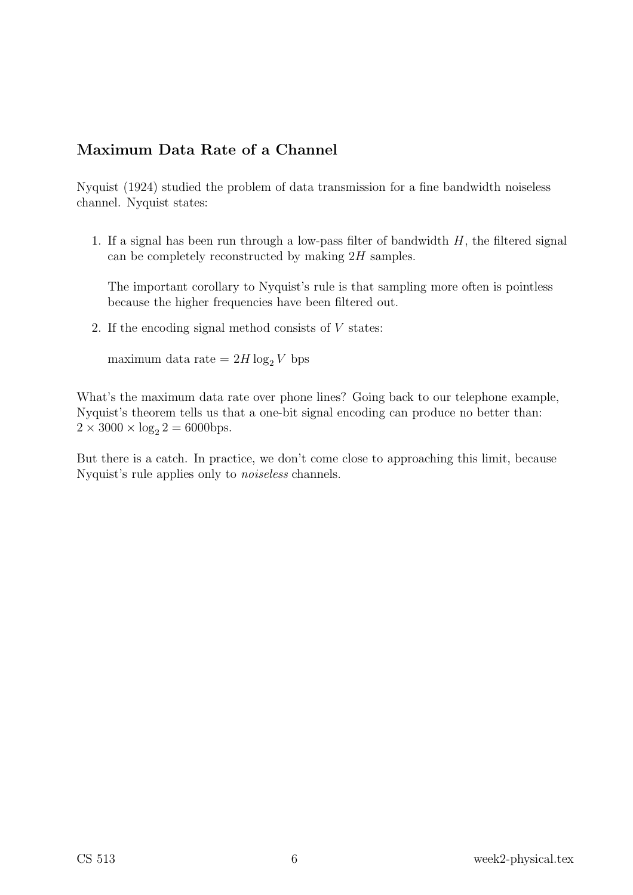## Maximum Data Rate of a Channel

Nyquist (1924) studied the problem of data transmission for a fine bandwidth noiseless channel. Nyquist states:

1. If a signal has been run through a low-pass filter of bandwidth  $H$ , the filtered signal can be completely reconstructed by making 2H samples.

The important corollary to Nyquist's rule is that sampling more often is pointless because the higher frequencies have been filtered out.

2. If the encoding signal method consists of V states:

maximum data rate =  $2H \log_2 V$  bps

What's the maximum data rate over phone lines? Going back to our telephone example, Nyquist's theorem tells us that a one-bit signal encoding can produce no better than:  $2 \times 3000 \times \log_2 2 = 6000$ bps.

But there is a catch. In practice, we don't come close to approaching this limit, because Nyquist's rule applies only to noiseless channels.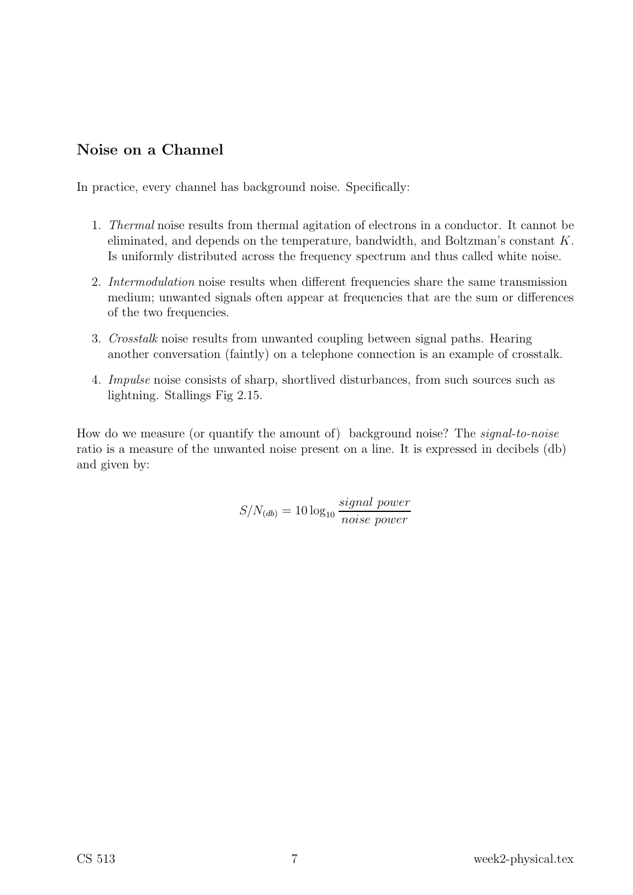## Noise on a Channel

In practice, every channel has background noise. Specifically:

- 1. Thermal noise results from thermal agitation of electrons in a conductor. It cannot be eliminated, and depends on the temperature, bandwidth, and Boltzman's constant K. Is uniformly distributed across the frequency spectrum and thus called white noise.
- 2. Intermodulation noise results when different frequencies share the same transmission medium; unwanted signals often appear at frequencies that are the sum or differences of the two frequencies.
- 3. Crosstalk noise results from unwanted coupling between signal paths. Hearing another conversation (faintly) on a telephone connection is an example of crosstalk.
- 4. Impulse noise consists of sharp, shortlived disturbances, from such sources such as lightning. Stallings Fig 2.15.

How do we measure (or quantify the amount of) background noise? The signal-to-noise ratio is a measure of the unwanted noise present on a line. It is expressed in decibels (db) and given by:

> $S/N_{(db)} = 10 \log_{10}$ signal power noise power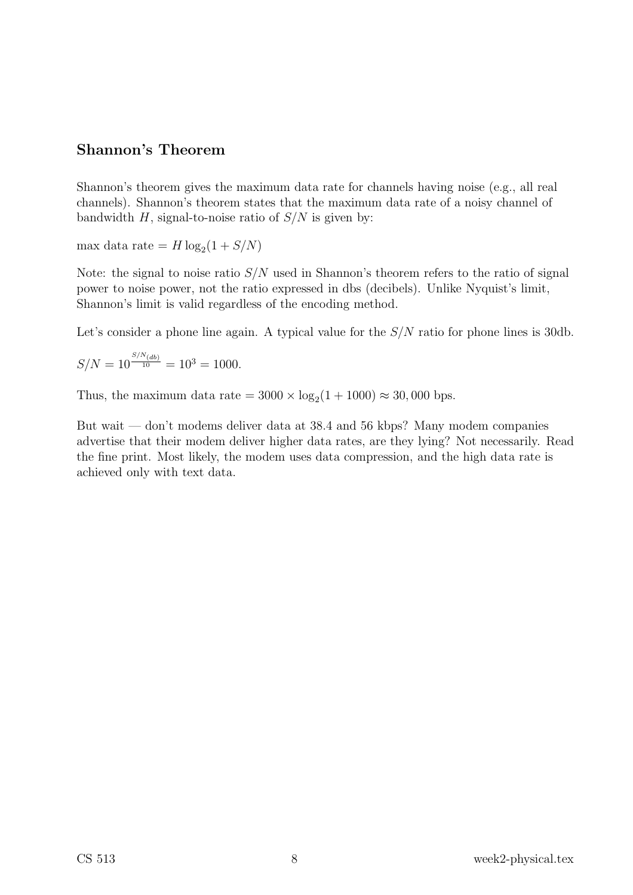### Shannon's Theorem

Shannon's theorem gives the maximum data rate for channels having noise (e.g., all real channels). Shannon's theorem states that the maximum data rate of a noisy channel of bandwidth H, signal-to-noise ratio of  $S/N$  is given by:

max data rate =  $H \log_2(1 + S/N)$ 

Note: the signal to noise ratio  $S/N$  used in Shannon's theorem refers to the ratio of signal power to noise power, not the ratio expressed in dbs (decibels). Unlike Nyquist's limit, Shannon's limit is valid regardless of the encoding method.

Let's consider a phone line again. A typical value for the  $S/N$  ratio for phone lines is 30db.

 $S/N = 10^{\frac{S/N_{(db)}}{10}} = 10^3 = 1000.$ 

Thus, the maximum data rate  $= 3000 \times \log_2(1 + 1000) \approx 30,000$  bps.

But wait — don't modems deliver data at 38.4 and 56 kbps? Many modem companies advertise that their modem deliver higher data rates, are they lying? Not necessarily. Read the fine print. Most likely, the modem uses data compression, and the high data rate is achieved only with text data.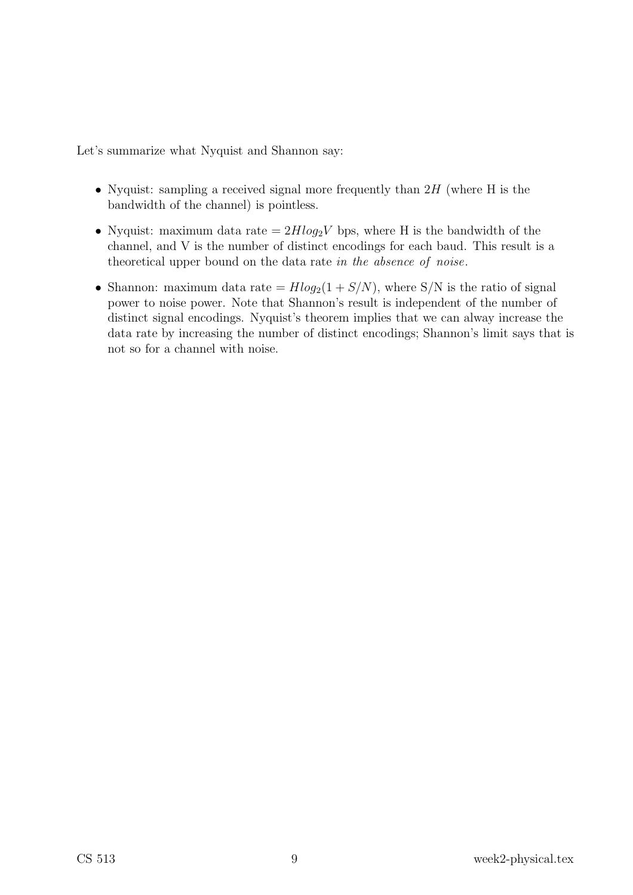Let's summarize what Nyquist and Shannon say:

- Nyquist: sampling a received signal more frequently than  $2H$  (where H is the bandwidth of the channel) is pointless.
- Nyquist: maximum data rate  $= 2H \log_2 V$  bps, where H is the bandwidth of the channel, and V is the number of distinct encodings for each baud. This result is a theoretical upper bound on the data rate in the absence of noise.
- Shannon: maximum data rate =  $H \log_2(1 + S/N)$ , where S/N is the ratio of signal power to noise power. Note that Shannon's result is independent of the number of distinct signal encodings. Nyquist's theorem implies that we can alway increase the data rate by increasing the number of distinct encodings; Shannon's limit says that is not so for a channel with noise.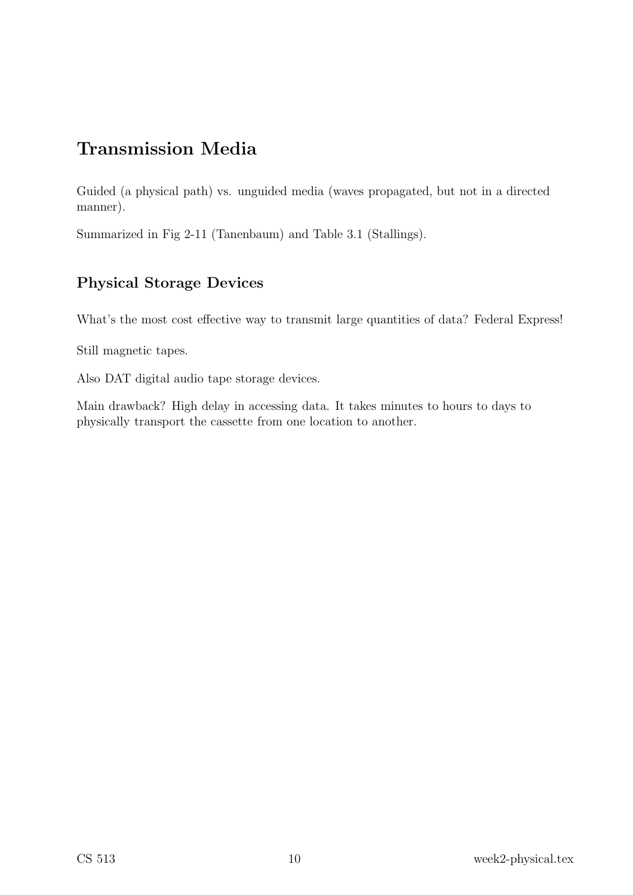# Transmission Media

Guided (a physical path) vs. unguided media (waves propagated, but not in a directed manner).

Summarized in Fig 2-11 (Tanenbaum) and Table 3.1 (Stallings).

## Physical Storage Devices

What's the most cost effective way to transmit large quantities of data? Federal Express!

Still magnetic tapes.

Also DAT digital audio tape storage devices.

Main drawback? High delay in accessing data. It takes minutes to hours to days to physically transport the cassette from one location to another.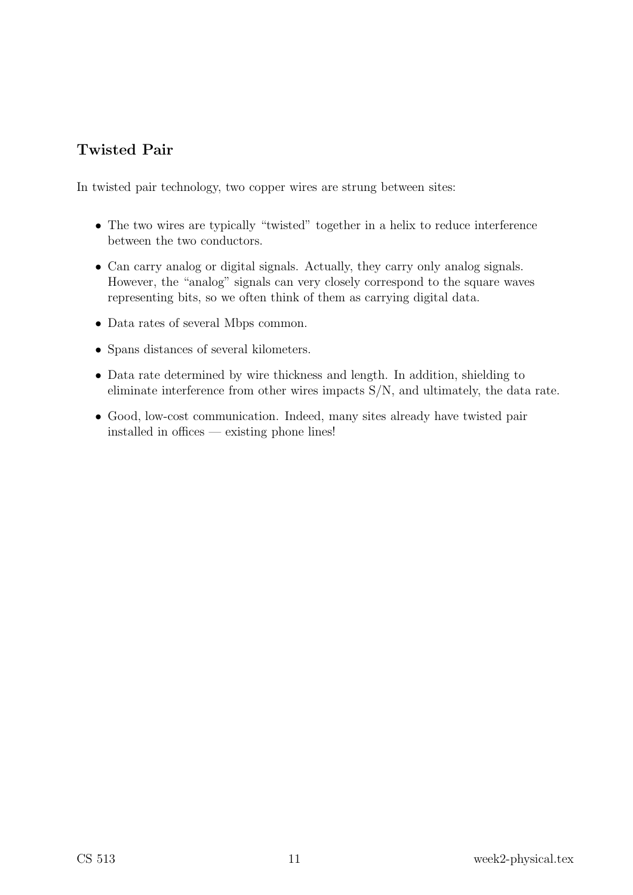# Twisted Pair

In twisted pair technology, two copper wires are strung between sites:

- The two wires are typically "twisted" together in a helix to reduce interference between the two conductors.
- Can carry analog or digital signals. Actually, they carry only analog signals. However, the "analog" signals can very closely correspond to the square waves representing bits, so we often think of them as carrying digital data.
- Data rates of several Mbps common.
- Spans distances of several kilometers.
- Data rate determined by wire thickness and length. In addition, shielding to eliminate interference from other wires impacts S/N, and ultimately, the data rate.
- Good, low-cost communication. Indeed, many sites already have twisted pair installed in offices — existing phone lines!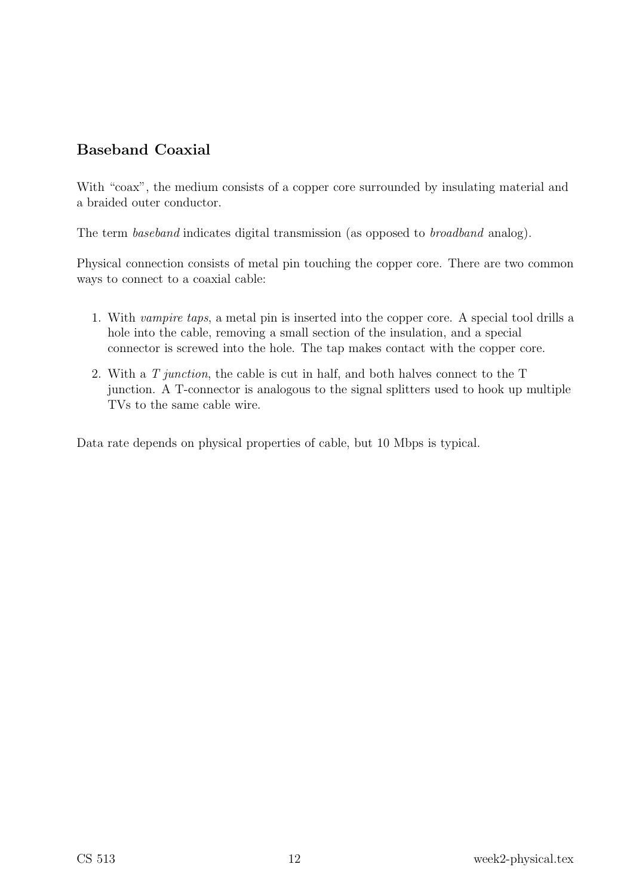## Baseband Coaxial

With "coax", the medium consists of a copper core surrounded by insulating material and a braided outer conductor.

The term baseband indicates digital transmission (as opposed to broadband analog).

Physical connection consists of metal pin touching the copper core. There are two common ways to connect to a coaxial cable:

- 1. With vampire taps, a metal pin is inserted into the copper core. A special tool drills a hole into the cable, removing a small section of the insulation, and a special connector is screwed into the hole. The tap makes contact with the copper core.
- 2. With a T junction, the cable is cut in half, and both halves connect to the T junction. A T-connector is analogous to the signal splitters used to hook up multiple TVs to the same cable wire.

Data rate depends on physical properties of cable, but 10 Mbps is typical.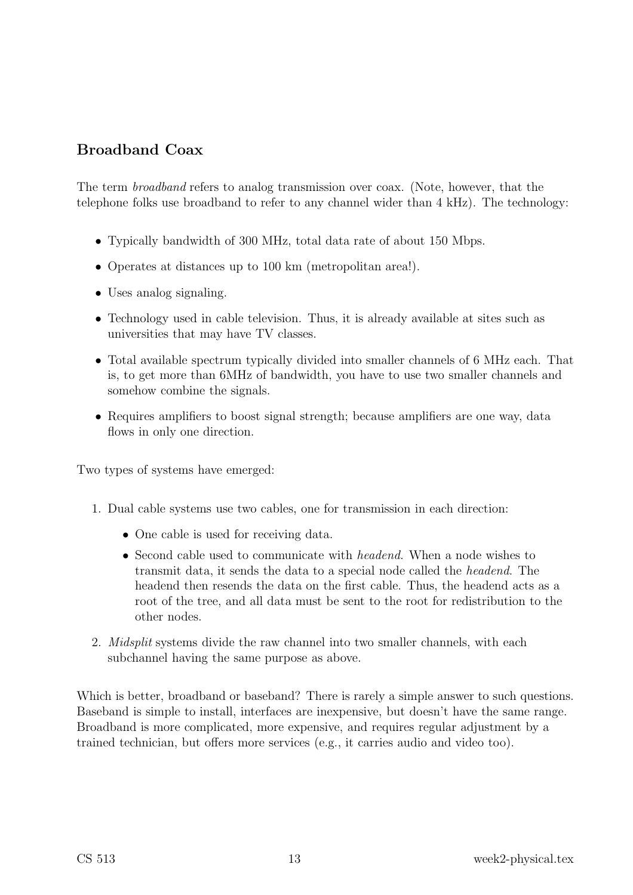## Broadband Coax

The term broadband refers to analog transmission over coax. (Note, however, that the telephone folks use broadband to refer to any channel wider than 4 kHz). The technology:

- Typically bandwidth of 300 MHz, total data rate of about 150 Mbps.
- Operates at distances up to 100 km (metropolitan area!).
- Uses analog signaling.
- Technology used in cable television. Thus, it is already available at sites such as universities that may have TV classes.
- Total available spectrum typically divided into smaller channels of 6 MHz each. That is, to get more than 6MHz of bandwidth, you have to use two smaller channels and somehow combine the signals.
- Requires amplifiers to boost signal strength; because amplifiers are one way, data flows in only one direction.

Two types of systems have emerged:

- 1. Dual cable systems use two cables, one for transmission in each direction:
	- One cable is used for receiving data.
	- Second cable used to communicate with *headend*. When a node wishes to transmit data, it sends the data to a special node called the headend. The headend then resends the data on the first cable. Thus, the headend acts as a root of the tree, and all data must be sent to the root for redistribution to the other nodes.
- 2. Midsplit systems divide the raw channel into two smaller channels, with each subchannel having the same purpose as above.

Which is better, broadband or baseband? There is rarely a simple answer to such questions. Baseband is simple to install, interfaces are inexpensive, but doesn't have the same range. Broadband is more complicated, more expensive, and requires regular adjustment by a trained technician, but offers more services (e.g., it carries audio and video too).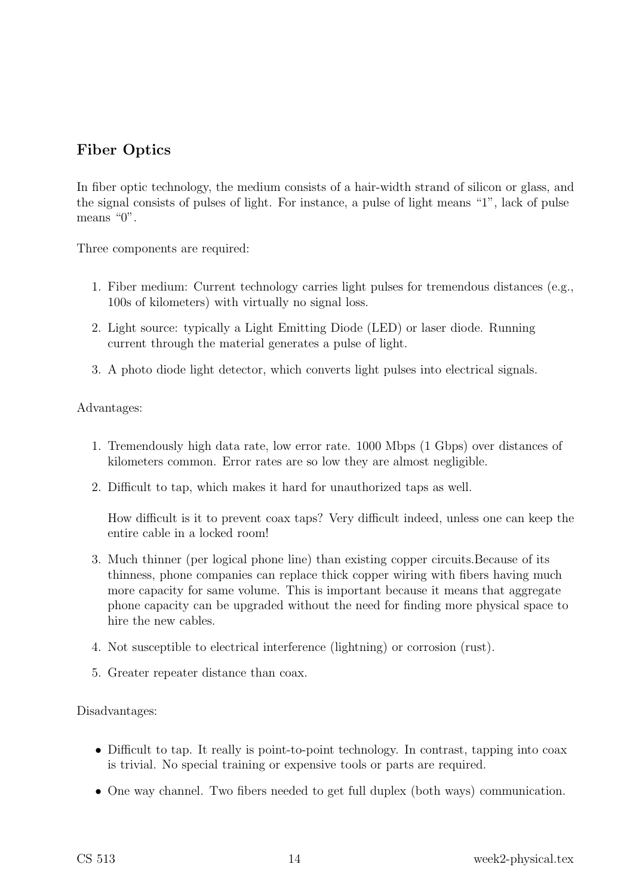## Fiber Optics

In fiber optic technology, the medium consists of a hair-width strand of silicon or glass, and the signal consists of pulses of light. For instance, a pulse of light means "1", lack of pulse means "0".

Three components are required:

- 1. Fiber medium: Current technology carries light pulses for tremendous distances (e.g., 100s of kilometers) with virtually no signal loss.
- 2. Light source: typically a Light Emitting Diode (LED) or laser diode. Running current through the material generates a pulse of light.
- 3. A photo diode light detector, which converts light pulses into electrical signals.

Advantages:

- 1. Tremendously high data rate, low error rate. 1000 Mbps (1 Gbps) over distances of kilometers common. Error rates are so low they are almost negligible.
- 2. Difficult to tap, which makes it hard for unauthorized taps as well.

How difficult is it to prevent coax taps? Very difficult indeed, unless one can keep the entire cable in a locked room!

- 3. Much thinner (per logical phone line) than existing copper circuits.Because of its thinness, phone companies can replace thick copper wiring with fibers having much more capacity for same volume. This is important because it means that aggregate phone capacity can be upgraded without the need for finding more physical space to hire the new cables.
- 4. Not susceptible to electrical interference (lightning) or corrosion (rust).
- 5. Greater repeater distance than coax.

Disadvantages:

- Difficult to tap. It really is point-to-point technology. In contrast, tapping into coax is trivial. No special training or expensive tools or parts are required.
- One way channel. Two fibers needed to get full duplex (both ways) communication.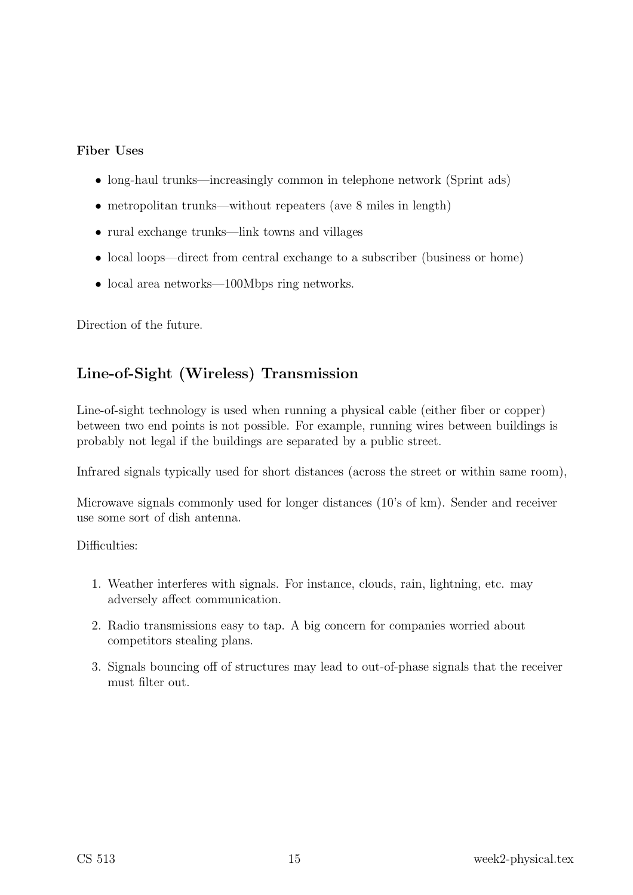### Fiber Uses

- long-haul trunks—increasingly common in telephone network (Sprint ads)
- metropolitan trunks—without repeaters (ave 8 miles in length)
- rural exchange trunks—link towns and villages
- local loops—direct from central exchange to a subscriber (business or home)
- local area networks—100Mbps ring networks.

Direction of the future.

## Line-of-Sight (Wireless) Transmission

Line-of-sight technology is used when running a physical cable (either fiber or copper) between two end points is not possible. For example, running wires between buildings is probably not legal if the buildings are separated by a public street.

Infrared signals typically used for short distances (across the street or within same room),

Microwave signals commonly used for longer distances (10's of km). Sender and receiver use some sort of dish antenna.

Difficulties:

- 1. Weather interferes with signals. For instance, clouds, rain, lightning, etc. may adversely affect communication.
- 2. Radio transmissions easy to tap. A big concern for companies worried about competitors stealing plans.
- 3. Signals bouncing off of structures may lead to out-of-phase signals that the receiver must filter out.